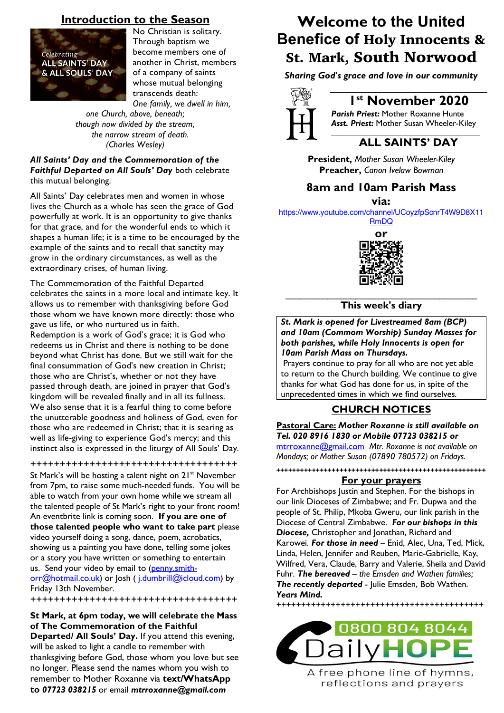## **Introduction to the Season**



No Christian is solitary. Through baptism we become members one of another in Christ, members of a company of saints whose mutual belonging transcends death: *One family, we dwell in him,*

*one Church, above, beneath; though now divided by the stream, the narrow stream of death. (Charles Wesley)*

*All Saints' Day and the Commemoration of the Faithful Departed on All Souls' Day* both celebrate this mutual belonging.

All Saints' Day celebrates men and women in whose lives the Church as a whole has seen the grace of God powerfully at work. It is an opportunity to give thanks for that grace, and for the wonderful ends to which it shapes a human life; it is a time to be encouraged by the example of the saints and to recall that sanctity may grow in the ordinary circumstances, as well as the extraordinary crises, of human living.

The Commemoration of the Faithful Departed celebrates the saints in a more local and intimate key. It allows us to remember with thanksgiving before God those whom we have known more directly: those who gave us life, or who nurtured us in faith. Redemption is a work of God's grace; it is God who redeems us in Christ and there is nothing to be done beyond what Christ has done. But we still wait for the final consummation of God's new creation in Christ; those who are Christ's, whether or not they have passed through death, are joined in prayer that God's kingdom will be revealed finally and in all its fullness. We also sense that it is a fearful thing to come before the unutterable goodness and holiness of God, even for those who are redeemed in Christ; that it is searing as well as life-giving to experience God's mercy; and this instinct also is expressed in the liturgy of All Souls' Day.

+++++++++++++++++++++++++++++++++++ St Mark's will be hosting a talent night on  $21^{st}$  November from 7pm, to raise some much-needed funds. You will be able to watch from your own home while we stream all the talented people of St Mark's right to your front room! An eventbrite link is coming soon. **If you are one of those talented people who want to take part** please video yourself doing a song, dance, poem, acrobatics, showing us a painting you have done, telling some jokes or a story you have written or something to entertain us. Send your video by email to (penny.smithorr@hotmail.co.uk) or Josh (j.dumbrill@icloud.com) by Friday 13th November.

+++++++++++++++++++++++++++++++++++

### **St Mark, at 6pm today, we will celebrate the Mass of The Commemoration of the Faithful**

**Departed/ All Souls' Day.** If you attend this evening, will be asked to light a candle to remember with thanksgiving before God, those whom you love but see no longer. Please send the names whom you wish to remember to Mother Roxanne via **text/WhatsApp to** *07723 038215* or email *mtrroxanne@gmail.com*

# **Welcome to the United Benefice of** Holy Innocents & St. Mark, South Norwood

*Sharing God's grace and love in our community*



### **1st November 2020**

*Parish Priest:* Mother Roxanne Hunte *Asst. Priest:* Mother Susan Wheeler-Kiley

### *\_\_\_\_\_\_\_\_\_\_\_\_\_\_\_\_\_\_\_\_\_\_\_\_\_\_\_\_\_\_\_\_\_\_\_\_\_\_\_\_\_\_\_\_* **ALL SAINTS' DAY**

**President,** *Mother Susan Wheeler-Kiley* **Preacher,** *Canon Ivelaw Bowman*

## **8am and 10am Parish Mass**

**via:** 

https://www.youtube.com/channel/UCoyzfpScnrT4W9D8X11

RmDQ



### \_\_\_\_\_\_\_\_\_\_\_\_\_\_\_\_\_\_\_\_\_\_\_\_\_\_\_\_\_\_\_\_\_\_\_\_\_\_\_\_\_ **This week's diary**

*St. Mark is opened for Livestreamed 8am (BCP) and 10am (Commom Worship) Sunday Masses for both parishes, while Holy Innocents is open for 10am Parish Mass on Thursdays.* 

Prayers continue to pray for all who are not yet able to return to the Church building. We continue to give thanks for what God has done for us, in spite of the unprecedented times in which we find ourselves.

### **CHURCH NOTICES**

**Pastoral Care:** *Mother Roxanne is still available on Tel. 020 8916 1830 or Mobile 07723 038215 or*

mtrroxanne@gmail.com *Mtr. Roxanne is not available on Mondays; or Mother Susan (07890 780572) on Fridays.*

**+++++++++++++++++++++++++++++++++++++++++++++++++++++**

### **For your prayers**

For Archbishops Justin and Stephen. For the bishops in our link Dioceses of Zimbabwe; and Fr. Dupwa and the people of St. Philip, Mkoba Gweru, our link parish in the Diocese of Central Zimbabwe. *For our bishops in this Diocese,* Christopher and Jonathan, Richard and Karowei. *For those in need* – Enid, Alec, Una, Ted, Mick, Linda, Helen, Jennifer and Reuben, Marie-Gabrielle, Kay, Wilfred, Vera, Claude, Barry and Valerie, Sheila and David Fuhr. *The bereaved – the Emsden and Wathen families; The recently departed* - Julie Emsden, Bob Wathen. *Years Mind.*

++++++++++++++++++++++++++++++++++++++++++



A free phone line of hymns, reflections and prayers